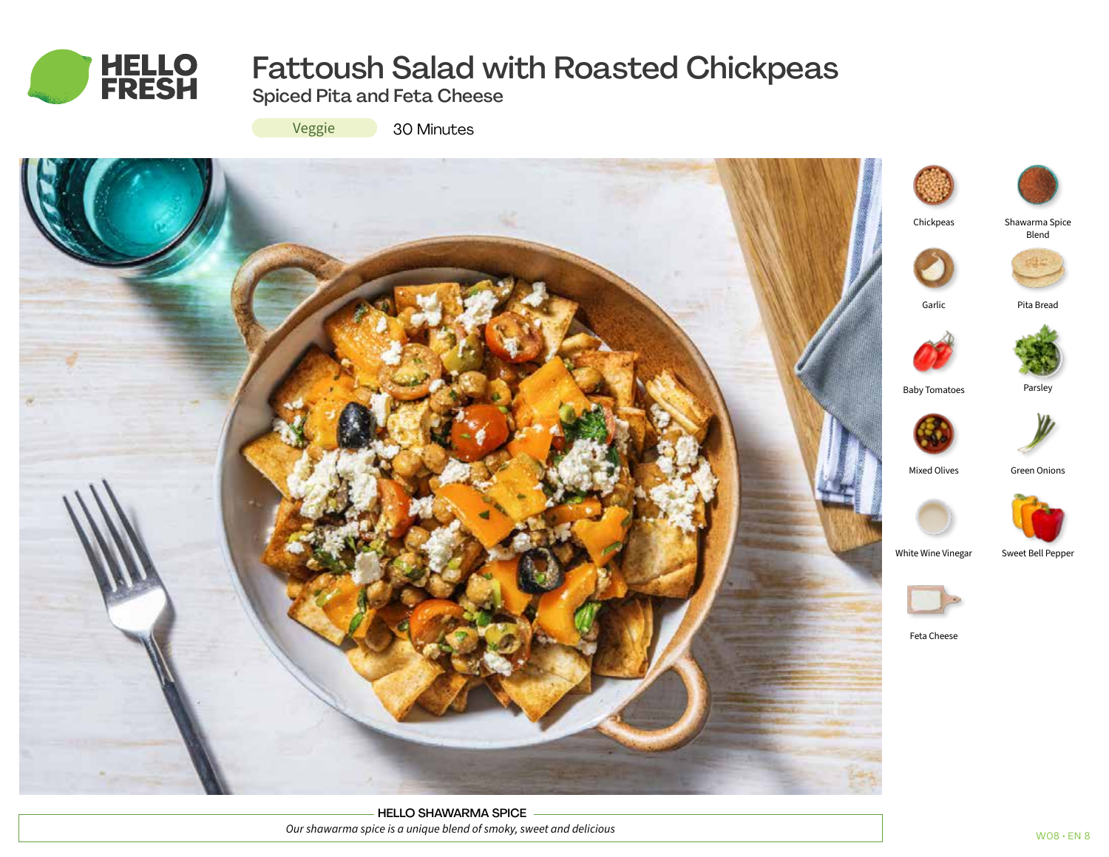

# Fattoush Salad with Roasted Chickpeas

Spiced Pita and Feta Cheese

Veggie

30 Minutes